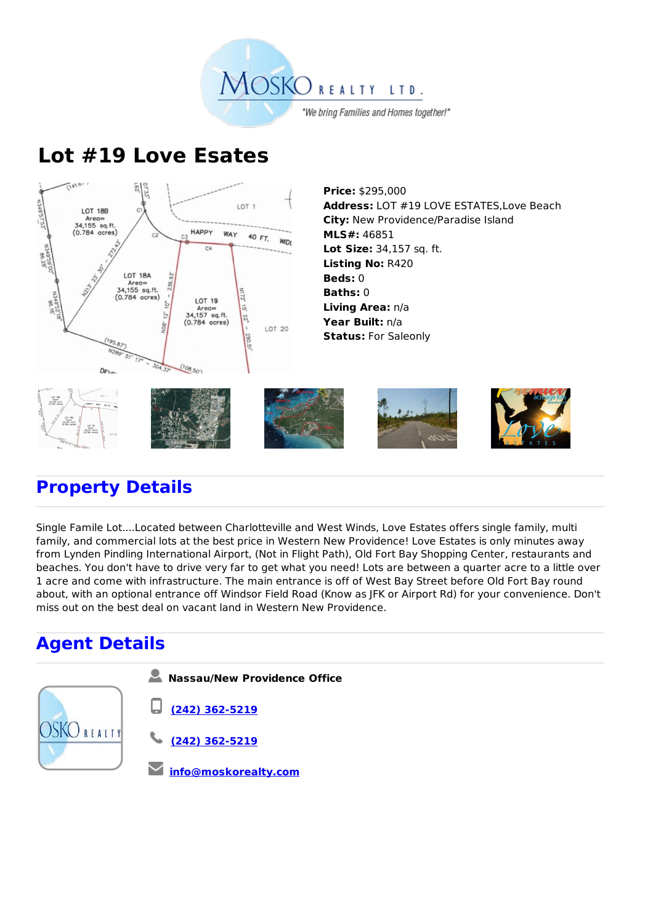

## **Lot #19 Love Esates**



**Address:** LOT #19 LOVE ESTATES,Love Beach **City:** New Providence/Paradise Island **MLS#:** 46851 **Lot Size:** 34,157 sq. ft. **Listing No:** R420 **Living Area:** n/a **Year Built:** n/a



## **Property Details**

Single Famile Lot....Located between Charlotteville and West Winds, Love Estates offers single family, multi family, and commercial lots at the best price in Western New Providence! Love Estates is only minutes away from Lynden Pindling International Airport, (Not in Flight Path), Old Fort Bay Shopping Center, restaurants and beaches. You don't have to drive very far to get what you need! Lots are between a quarter acre to a little over 1 acre and come with infrastructure. The main entrance is off of West Bay Street before Old Fort Bay round about, with an optional entrance off Windsor Field Road (Know as JFK or Airport Rd) for your convenience. Don't miss out on the best deal on vacant land in Western New Providence.

## **Agent Details**